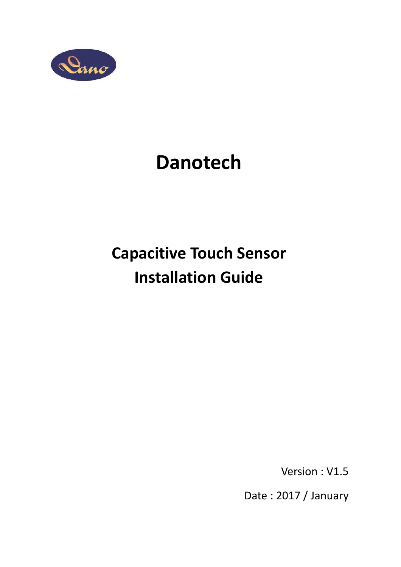

# Danotech

# Capacitive Touch Sensor Installation Guide

Version : V1.5

Date : 2017 / January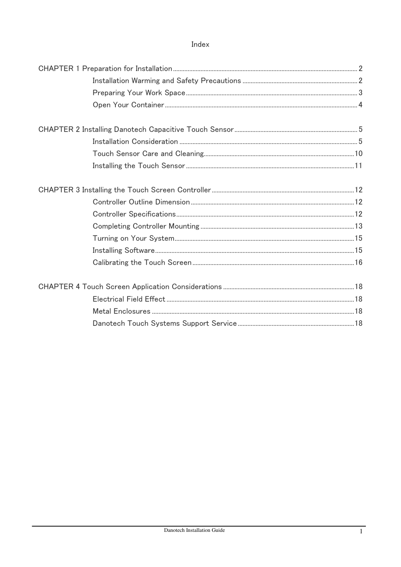## Index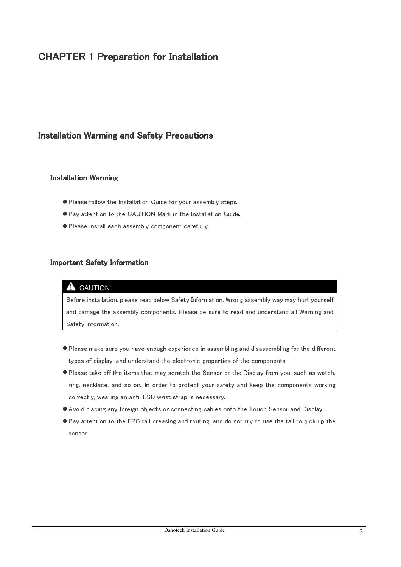# **CHAPTER 1 Preparation for Installation**

# Installation Warming and Safety Precautions

#### Installation Warming

- Please follow the Installation Guide for your assembly steps.
- Pay attention to the CAUTION Mark in the Installation Guide.
- Please install each assembly component carefully.

#### **Important Safety Information**

#### **A** CAUTION

Before installation, please read below Safety Information. Wrong assembly way may hurt yourself and damage the assembly components. Please be sure to read and understand all Warning and Safety information.

- Please make sure you have enough experience in assembling and disassembling for the different types of display, and understand the electronic properties of the components.
- Please take off the items that may scratch the Sensor or the Display from you, such as watch, ring, necklace, and so on. In order to protect your safety and keep the components working correctly, wearing an anti-ESD wrist strap is necessary.
- Avoid placing any foreign objects or connecting cables onto the Touch Sensor and Display.
- Pay attention to the FPC tail creasing and routing, and do not try to use the tail to pick up the sensor.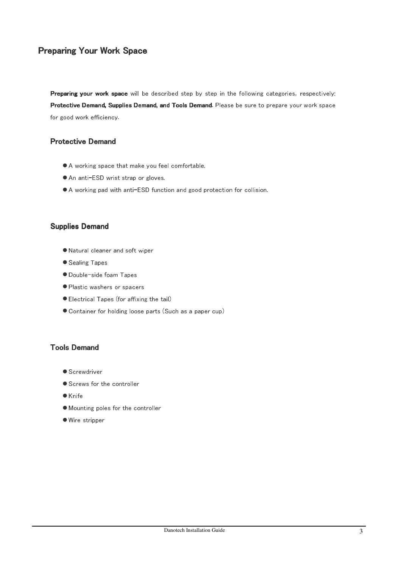# **Preparing Your Work Space**

Preparing your work space will be described step by step in the following categories, respectively: Protective Demand, Supplies Demand, and Tools Demand. Please be sure to prepare your work space for good work efficiency.

## **Protective Demand**

- A working space that make you feel comfortable.
- An anti-ESD wrist strap or gloves.
- A working pad with anti-ESD function and good protection for collision.

#### Supplies Demand

- Natural cleaner and soft wiper
- Sealing Tapes
- Double-side foam Tapes
- Plastic washers or spacers
- Electrical Tapes (for affixing the tail)
- Container for holding loose parts (Such as a paper cup)

#### **Tools Demand**

- Screwdriver
- Screws for the controller
- $\bullet$  Knife
- Mounting poles for the controller
- Wire stripper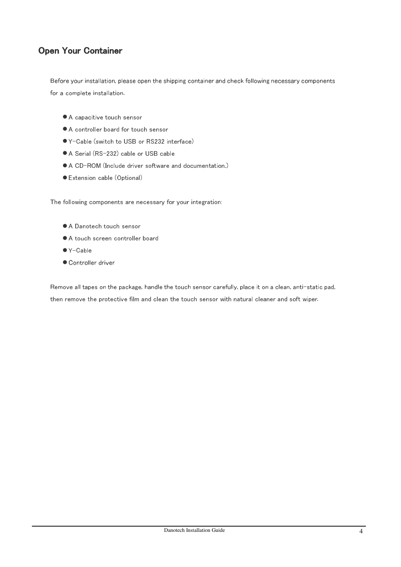# **Open Your Container**

Before your installation, please open the shipping container and check following necessary components for a complete installation.

- A capacitive touch sensor
- A controller board for touch sensor
- Y-Cable (switch to USB or RS232 interface)
- A Serial (RS-232) cable or USB cable
- A CD-ROM (Include driver software and documentation.)
- Extension cable (Optional)

The following components are necessary for your integration:

- A Danotech touch sensor
- A touch screen controller board
- Y-Cable
- Controller driver

Remove all tapes on the package, handle the touch sensor carefully, place it on a clean, anti-static pad, then remove the protective film and clean the touch sensor with natural cleaner and soft wiper.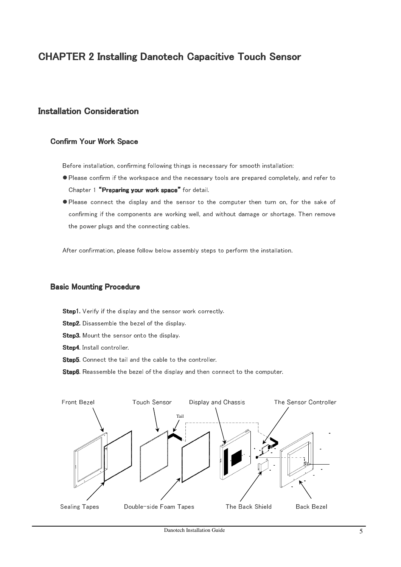# **CHAPTER 2 Installing Danotech Capacitive Touch Sensor**

# **Installation Consideration**

#### **Confirm Your Work Space**

Before installation, confirming following things is necessary for smooth installation:

- Please confirm if the workspace and the necessary tools are prepared completely, and refer to Chapter 1 "Preparing your work space" for detail.
- Please connect the display and the sensor to the computer then turn on, for the sake of confirming if the components are working well, and without damage or shortage. Then remove the power plugs and the connecting cables.

After confirmation, please follow below assembly steps to perform the installation.

#### **Basic Mounting Procedure**

Step1. Verify if the display and the sensor work correctly.

- Step2. Disassemble the bezel of the display.
- Step3. Mount the sensor onto the display.
- Step4. Install controller.
- Step5. Connect the tail and the cable to the controller.
- Step6. Reassemble the bezel of the display and then connect to the computer.

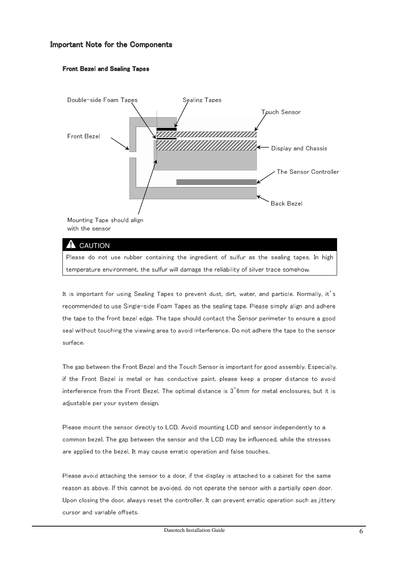#### Important Note for the Components

#### Front Bezel and Sealing Tapes



Please do not use rubber containing the ingredient of sulfur as the sealing tapes. In high temperature environment, the sulfur will damage the reliability of silver trace somehow.

It is important for using Sealing Tapes to prevent dust, dirt, water, and particle. Normally, it's recommended to use Single-side Foam Tapes as the sealing tape. Please simply align and adhere the tape to the front bezel edge. The tape should contact the Sensor perimeter to ensure a good seal without touching the viewing area to avoid interference. Do not adhere the tape to the sensor surface.

The gap between the Front Bezel and the Touch Sensor is important for good assembly. Especially, if the Front Bezel is metal or has conductive paint, please keep a proper distance to avoid interference from the Front Bezel. The optimal distance is  $3°6$ mm for metal enclosures, but it is adjustable per your system design.

Please mount the sensor directly to LCD. Avoid mounting LCD and sensor independently to a common bezel. The gap between the sensor and the LCD may be influenced, while the stresses are applied to the bezel. It may cause erratic operation and false touches.

Please avoid attaching the sensor to a door, if the display is attached to a cabinet for the same reason as above. If this cannot be avoided, do not operate the sensor with a partially open door. Upon closing the door, always reset the controller. It can prevent erratic operation such as jittery cursor and variable offsets.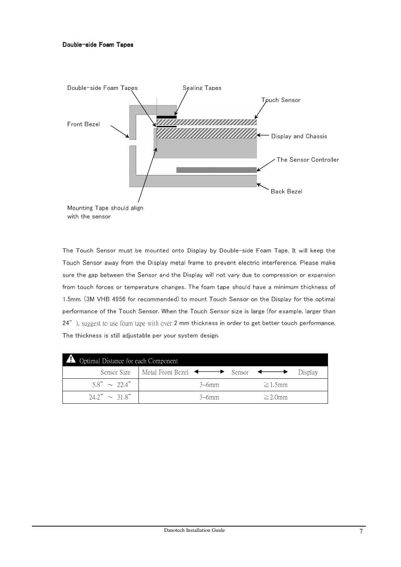

The Touch Sensor must be mounted onto Display by Double-side Foam Tape. It will keep the Touch Sensor away from the Display metal frame to prevent electric interference. Please make sure the gap between the Sensor and the Display will not vary due to compression or expansion from touch forces or temperature changes. The foam tape should have a minimum thickness of 1.5mm. (3M VHB 4956 for recommended) to mount Touch Sensor on the Display for the optimal performance of the Touch Sensor. When the Touch Sensor size is large (for example, larger than 24"), suggest to use foam tape with over 2 mm thickness in order to get better touch performance. The thickness is still adjustable per your system design.

| Optimal Distance for each Component |                                                                            |               |           |
|-------------------------------------|----------------------------------------------------------------------------|---------------|-----------|
|                                     | Sensor Size   Metal Front Bezel $\leftrightarrow$ Sensor $\leftrightarrow$ |               | - Display |
| $58" \sim 224"$                     | $3\nu$ fmm                                                                 | $\geq$ 1 5mm  |           |
| $24.2" \sim 31.8"$                  | $3\nu$ fmm                                                                 | $\geq$ 2.0 mm |           |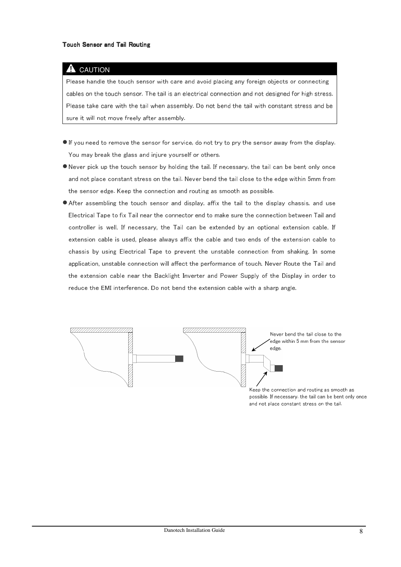## **A** CAUTION

Please handle the touch sensor with care and avoid placing any foreign objects or connecting cables on the touch sensor. The tail is an electrical connection and not designed for high stress. Please take care with the tail when assembly. Do not bend the tail with constant stress and be sure it will not move freely after assembly.

- If you need to remove the sensor for service, do not try to pry the sensor away from the display. You may break the glass and injure yourself or others.
- Never pick up the touch sensor by holding the tail. If necessary, the tail can be bent only once and not place constant stress on the tail. Never bend the tail close to the edge within 5mm from the sensor edge. Keep the connection and routing as smooth as possible.
- After assembling the touch sensor and display, affix the tail to the display chassis, and use Electrical Tape to fix Tail near the connector end to make sure the connection between Tail and controller is well. If necessary, the Tail can be extended by an optional extension cable. If extension cable is used, please always affix the cable and two ends of the extension cable to chassis by using Electrical Tape to prevent the unstable connection from shaking. In some application, unstable connection will affect the performance of touch. Never Route the Tail and the extension cable near the Backlight Inverter and Power Supply of the Display in order to reduce the EMI interference. Do not bend the extension cable with a sharp angle.



possible. If necessary, the tail can be bent only once and not place constant stress on the tail.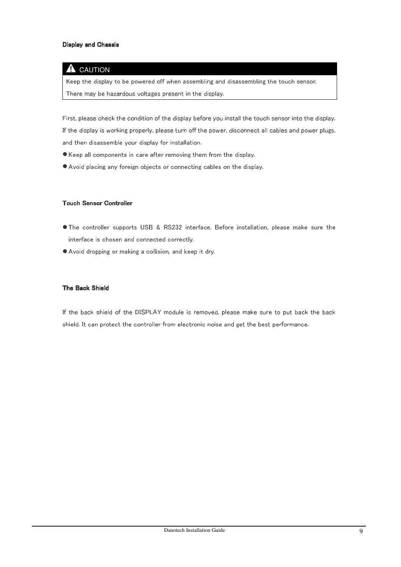#### **Display and Chassis**

#### **A** CAUTION

Keep the display to be powered off when assembling and disassembling the touch sensor. There may be hazardous voltages present in the display.

First, please check the condition of the display before you install the touch sensor into the display. If the display is working properly, please turn off the power, disconnect all cables and power plugs, and then disassemble your display for installation.

- Keep all components in care after removing them from the display.
- Avoid placing any foreign objects or connecting cables on the display.

#### **Touch Sensor Controller**

- The controller supports USB & RS232 interface. Before installation, please make sure the interface is chosen and connected correctly.
- Avoid dropping or making a collision, and keep it dry.

#### The Back Shield

If the back shield of the DISPLAY module is removed, please make sure to put back the back shield. It can protect the controller from electronic noise and get the best performance.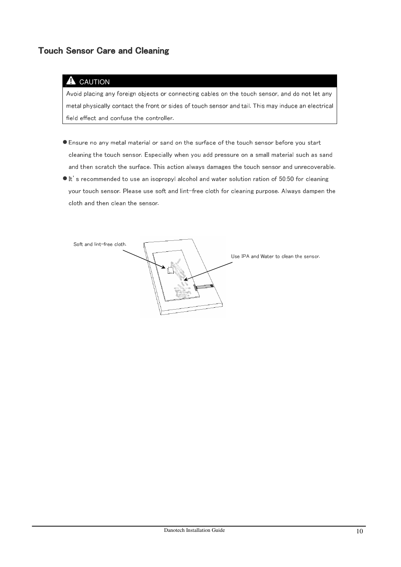# Touch Sensor Care and Cleaning

#### CAUTION A

Avoid placing any foreign objects or connecting cables on the touch sensor, and do not let any metal physically contact the front or sides of touch sensor and tail. This may induce an electrical field effect and confuse the controller.

- Ensure no any metal material or sand on the surface of the touch sensor before you start cleaning the touch sensor. Especially when you add pressure on a small material such as sand and then scratch the surface. This action always damages the touch sensor and unrecoverable.
- $\bullet$  It's recommended to use an isopropyl alcohol and water solution ration of 50:50 for cleaning your touch sensor. Please use soft and lint-free cloth for cleaning purpose. Always dampen the cloth and then clean the sensor.

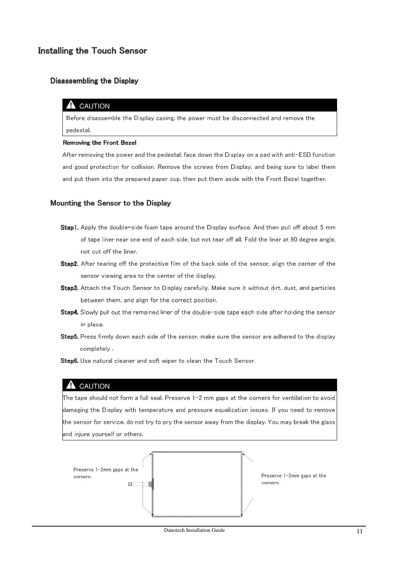# Installing the Touch Sensor

#### Disassembling the Display

#### $\triangle$  CAUTION

Before disassemble the Display casing, the power must be disconnected and remove the pedestal.

#### Removing the Front Bezel

After removing the power and the pedestal, face down the Display on a pad with anti-ESD function and good protection for collision. Remove the screws from Display, and being sure to label them and put them into the prepared paper cup, then put them aside with the Front Bezel together.

#### Mounting the Sensor to the Display

- Step1. Apply the double-side foam tape around the Display surface. And then pull off about 5 mm of tape liner near one end of each side, but not tear off all. Fold the liner at 90 degree angle, not cut off the liner.
- Step2. After tearing off the protective film of the back side of the sensor, align the center of the sensor viewing area to the center of the display.
- Step3. Attach the Touch Sensor to Display carefully. Make sure it without dirt, dust, and particles between them, and align for the correct position.
- Step4. Slowly pull out the remained liner of the double-side tape each side after holding the sensor in place.
- Step5. Press firmly down each side of the sensor, make sure the sensor are adhered to the display completely .
- Step6. Use natural cleaner and soft wiper to clean the Touch Sensor.

#### **A** CAUTION

The tape should not form a full seal. Preserve 1-2 mm gaps at the corners for ventilation to avoid damaging the Display with temperature and pressure equalization issues. If you need to remove the sensor for service, do not try to pry the sensor away from the display. You may break the glass and injure yourself or others.

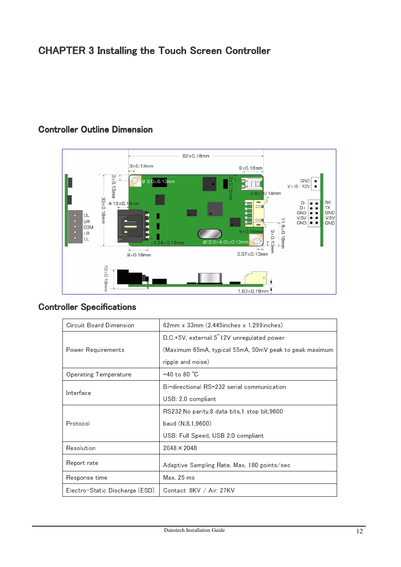# CHAPTER 3 Installing the Touch Screen Controller



# Controller Outline Dimension

| Circuit Board Dimension        | $62$ mm x $33$ mm $(2.445$ inches x 1.299 inches)      |  |  |
|--------------------------------|--------------------------------------------------------|--|--|
|                                | D.C.+5V, external 5 12V unregulated power              |  |  |
| Power Requirements             | (Maximum 65mA, typical 55mA, 50mV peak to peak maximum |  |  |
|                                | ripple and noise)                                      |  |  |
| Operating Temperature          | $-40$ to 80 °C                                         |  |  |
|                                | Bi-directional RS-232 serial communication             |  |  |
| Interface                      | USB 20 compliant                                       |  |  |
| Protocol                       | RS232 No parity,8 data bits,1 stop bit,9600            |  |  |
|                                | baud (N,8,1,9600)                                      |  |  |
|                                | USB: Full Speed, USB 2.0 compliant                     |  |  |
| Resolution                     | $2048 \times 2048$                                     |  |  |
| Report rate                    | Adaptive Sampling Rate. Max. 180 points/sec            |  |  |
| Response time                  | Max. 25 ms                                             |  |  |
| Electro-Static Discharge (ESD) | Contact: 8KV / Air: 27KV                               |  |  |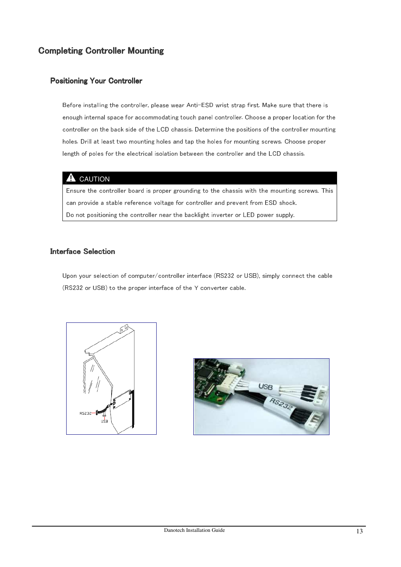# **Completing Controller Mounting**

#### **Positioning Your Controller**

Before installing the controller, please wear Anti-ESD wrist strap first. Make sure that there is enough internal space for accommodating touch panel controller. Choose a proper location for the controller on the back side of the LCD chassis. Determine the positions of the controller mounting holes. Drill at least two mounting holes and tap the holes for mounting screws. Choose proper length of poles for the electrical isolation between the controller and the LCD chassis.

#### **A** CAUTION

Ensure the controller board is proper grounding to the chassis with the mounting screws. This can provide a stable reference voltage for controller and prevent from ESD shock. Do not positioning the controller near the backlight inverter or LED power supply.

#### **Interface Selection**

Upon your selection of computer/controller interface (RS232 or USB), simply connect the cable (RS232 or USB) to the proper interface of the Y converter cable.



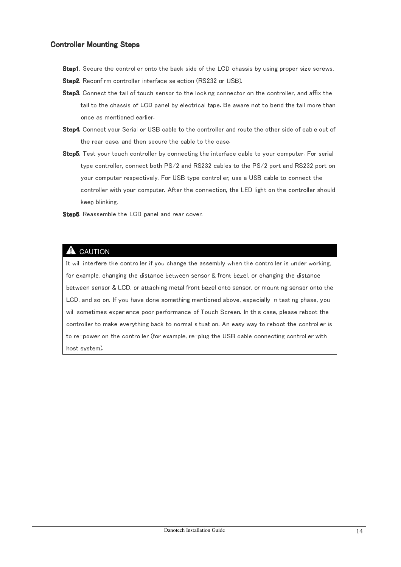#### Controller Mounting Steps

- Step1. Secure the controller onto the back side of the LCD chassis by using proper size screws.
- Step2. Reconfirm controller interface selection (RS232 or USB).
- Step3. Connect the tail of touch sensor to the locking connector on the controller, and affix the tail to the chassis of LCD panel by electrical tape. Be aware not to bend the tail more than once as mentioned earlier.
- Step4. Connect your Serial or USB cable to the controller and route the other side of cable out of the rear case, and then secure the cable to the case.
- Step5. Test your touch controller by connecting the interface cable to your computer. For serial type controller, connect both PS/2 and RS232 cables to the PS/2 port and RS232 port on your computer respectively. For USB type controller, use a USB cable to connect the controller with your computer. After the connection, the LED light on the controller should keep blinking.
- Step6. Reassemble the LCD panel and rear cover.

## **A** CAUTION

It will interfere the controller if you change the assembly when the controller is under working, for example, changing the distance between sensor & front bezel, or changing the distance between sensor & LCD, or attaching metal front bezel onto sensor, or mounting sensor onto the LCD, and so on. If you have done something mentioned above, especially in testing phase, you will sometimes experience poor performance of Touch Screen. In this case, please reboot the controller to make everything back to normal situation. An easy way to reboot the controller is to re-power on the controller (for example, re-plug the USB cable connecting controller with host system).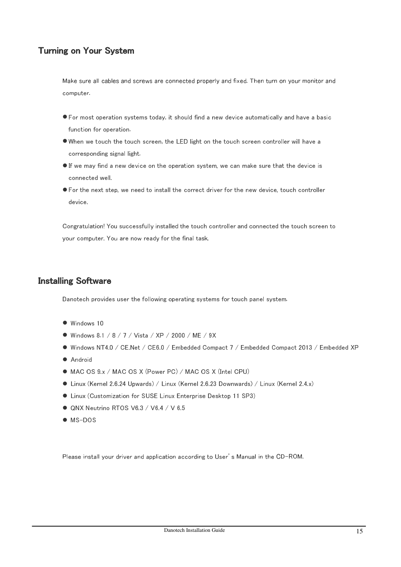# Turning on Your System

Make sure all cables and screws are connected properly and fixed. Then turn on your monitor and computer.

- For most operation systems today, it should find a new device automatically and have a basic function for operation.
- When we touch the touch screen, the LED light on the touch screen controller will have a corresponding signal light.
- If we may find a new device on the operation system, we can make sure that the device is connected well.
- For the next step, we need to install the correct driver for the new device, touch controller device.

Congratulation! You successfully installed the touch controller and connected the touch screen to your computer. You are now ready for the final task.

# **Installing Software**

Danotech provides user the following operating systems for touch panel system.

- $\bullet$  Windows 10
- Windows 8.1 / 8 / 7 / Vista / XP / 2000 / ME / 9X
- Windows NT4.0 / CE.Net / CE6.0 / Embedded Compact 7 / Embedded Compact 2013 / Embedded XP
- **Android**
- MAC OS 9.x / MAC OS X (Power PC) / MAC OS X (Intel CPU)
- Linux (Kernel 2.6.24 Upwards) / Linux (Kernel 2.6.23 Downwards) / Linux (Kernel 2.4.x)
- Linux (Customization for SUSE Linux Enterprise Desktop 11 SP3)
- QNX Neutrino RTOS V6.3 / V6.4 / V 6.5
- $\bullet$  MS-DOS

Please install your driver and application according to User's Manual in the CD-ROM.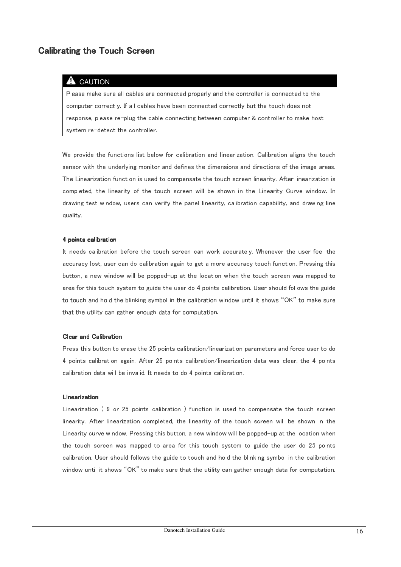# **Calibrating the Touch Screen**

#### CAUTION

Please make sure all cables are connected properly and the controller is connected to the computer correctly. If all cables have been connected correctly but the touch does not response, please re-plug the cable connecting between computer & controller to make host system re-detect the controller.

We provide the functions list below for calibration and linearization. Calibration aligns the touch sensor with the underlying monitor and defines the dimensions and directions of the image areas. The Linearization function is used to compensate the touch screen linearity. After linearization is completed, the linearity of the touch screen will be shown in the Linearity Curve window. In drawing test window, users can verify the panel linearity, calibration capability, and drawing line quality.

#### 4 points calibration

It needs calibration before the touch screen can work accurately. Whenever the user feel the accuracy lost, user can do calibration again to get a more accuracy touch function. Pressing this button, a new window will be popped-up at the location when the touch screen was mapped to area for this touch system to guide the user do 4 points calibration. User should follows the guide to touch and hold the blinking symbol in the calibration window until it shows "OK" to make sure that the utility can gather enough data for computation.

#### **Clear and Calibration**

Press this button to erase the 25 points calibration/linearization parameters and force user to do 4 points calibration again. After 25 points calibration/linearization data was clear, the 4 points calibration data will be invalid. It needs to do 4 points calibration.

#### **Linearization**

Linearization ( 9 or 25 points calibration ) function is used to compensate the touch screen linearity. After linearization completed, the linearity of the touch screen will be shown in the Linearity curve window. Pressing this button, a new window will be popped-up at the location when the touch screen was mapped to area for this touch system to guide the user do 25 points calibration. User should follows the guide to touch and hold the blinking symbol in the calibration window until it shows "OK" to make sure that the utility can gather enough data for computation.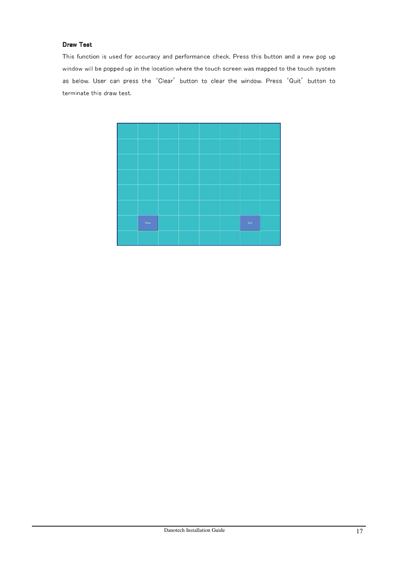#### Draw Test

This function is used for accuracy and performance check. Press this button and a new pop up window will be popped up in the location where the touch screen was mapped to the touch system as below. User can press the 'Clear' button to clear the window. Press 'Quit' button to terminate this draw test.